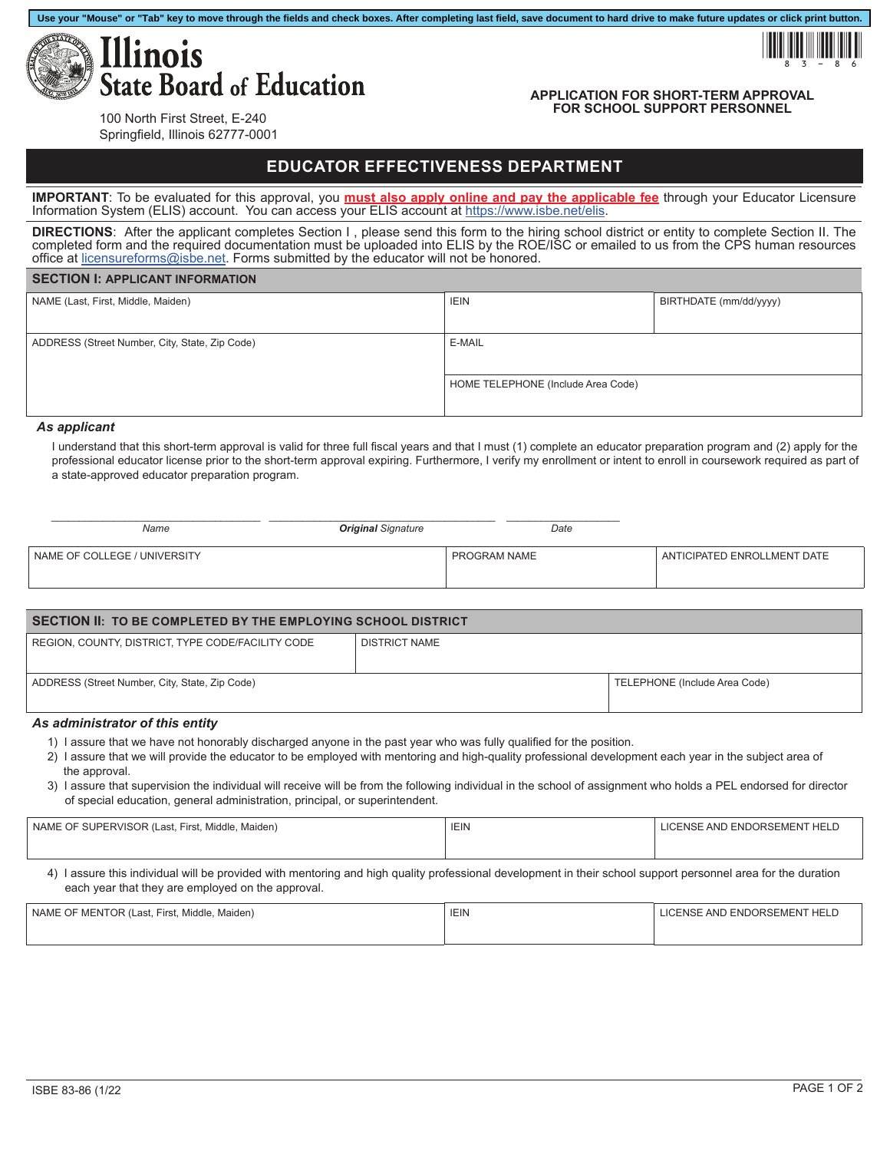

# **APPLICATION FOR SHORT-TERM APPROVAL FOR SCHOOL SUPPORT PERSONNEL**

!83-86

100 North First Street, E-240 Springfield, Illinois 62777-0001

# **EDUCATOR EFFECTIVENESS DEPARTMENT**

**Use your "Mouse" or "Tab" key to move through the fields and check boxes. After completing last field, save document to hard drive to make future updates or click print button.**

**IMPORTANT**: To be evaluated for this approval, you **must also apply online and pay the applicable fee** through your Educator Licensure Information System (ELIS) account. You can access your ELIS account at<https://www.isbe.net/elis>.

**DIRECTIONS**: After the applicant completes Section I , please send this form to the hiring school district or entity to complete Section II. The completed form and the required documentation must be uploaded into ELIS by the ROE/ISC or emailed to us from the CPS human resources office at [licensureforms@isbe.net](mailto:licensureforms%40isbe.net?subject=). Forms submitted by the educator will not be honored.

### **SECTION I: APPLICANT INFORMATION**

| NAME (Last, First, Middle, Maiden)             | <b>IEIN</b>                        | BIRTHDATE (mm/dd/yyyy) |
|------------------------------------------------|------------------------------------|------------------------|
|                                                |                                    |                        |
| ADDRESS (Street Number, City, State, Zip Code) | E-MAIL                             |                        |
|                                                |                                    |                        |
|                                                | HOME TELEPHONE (Include Area Code) |                        |
|                                                |                                    |                        |

#### *As applicant*

I understand that this short-term approval is valid for three full fiscal years and that I must (1) complete an educator preparation program and (2) apply for the professional educator license prior to the short-term approval expiring. Furthermore, I verify my enrollment or intent to enroll in coursework required as part of a state-approved educator preparation program.

| Name                         | <b>Original Signature</b> | Date         |                             |
|------------------------------|---------------------------|--------------|-----------------------------|
| NAME OF COLLEGE / UNIVERSITY |                           | PROGRAM NAME | ANTICIPATED ENROLLMENT DATE |

| SECTION II: TO BE COMPLETED BY THE EMPLOYING SCHOOL DISTRICT |                      |                               |  |
|--------------------------------------------------------------|----------------------|-------------------------------|--|
| REGION, COUNTY, DISTRICT, TYPE CODE/FACILITY CODE            | <b>DISTRICT NAME</b> |                               |  |
| ADDRESS (Street Number, City, State, Zip Code)               |                      | TELEPHONE (Include Area Code) |  |

# *As administrator of this entity*

- 1) I assure that we have not honorably discharged anyone in the past year who was fully qualified for the position.
- 2) I assure that we will provide the educator to be employed with mentoring and high-quality professional development each year in the subject area of the approval.
- 3) I assure that supervision the individual will receive will be from the following individual in the school of assignment who holds a PEL endorsed for director of special education, general administration, principal, or superintendent.

| NAME OF SUPERVISOR (Last, First, Middle, Maiden)                                                                                                                                                                   | <b>IEIN</b> |                                     |  |
|--------------------------------------------------------------------------------------------------------------------------------------------------------------------------------------------------------------------|-------------|-------------------------------------|--|
|                                                                                                                                                                                                                    |             |                                     |  |
| 4) I assure this individual will be provided with mentoring and high quality professional development in their school support personnel area for the duration<br>each year that they are employed on the approval. |             |                                     |  |
|                                                                                                                                                                                                                    | $1 - 111$   | 10F110F111F1F11F100F0F11F11F1F1F1F1 |  |

| NAME OF MENTOR (Last, First, Middle, Maiden) | <b>IEIN</b> | LICENSE AND ENDORSEMENT HELD |
|----------------------------------------------|-------------|------------------------------|
|                                              |             |                              |
|                                              |             |                              |